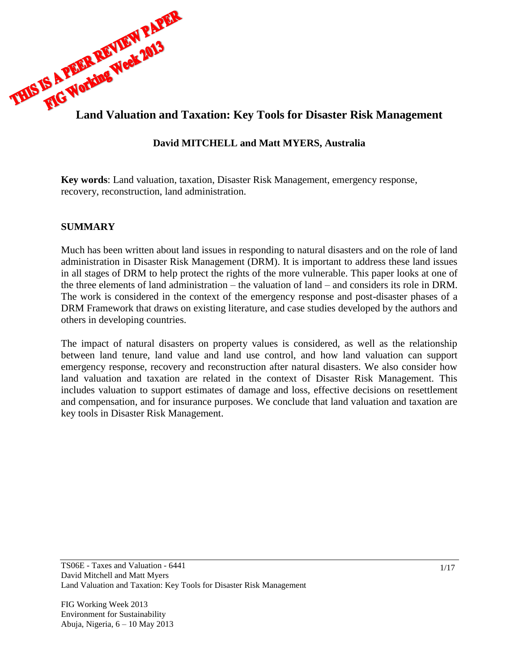

#### **David MITCHELL and Matt MYERS, Australia**

**Key words**: Land valuation, taxation, Disaster Risk Management, emergency response, recovery, reconstruction, land administration.

#### **SUMMARY**

Much has been written about land issues in responding to natural disasters and on the role of land administration in Disaster Risk Management (DRM). It is important to address these land issues in all stages of DRM to help protect the rights of the more vulnerable. This paper looks at one of the three elements of land administration – the valuation of land – and considers its role in DRM. The work is considered in the context of the emergency response and post-disaster phases of a DRM Framework that draws on existing literature, and case studies developed by the authors and others in developing countries.

The impact of natural disasters on property values is considered, as well as the relationship between land tenure, land value and land use control, and how land valuation can support emergency response, recovery and reconstruction after natural disasters. We also consider how land valuation and taxation are related in the context of Disaster Risk Management. This includes valuation to support estimates of damage and loss, effective decisions on resettlement and compensation, and for insurance purposes. We conclude that land valuation and taxation are key tools in Disaster Risk Management.

TS06E - Taxes and Valuation - 6441 David Mitchell and Matt Myers Land Valuation and Taxation: Key Tools for Disaster Risk Management

FIG Working Week 2013 Environment for Sustainability Abuja, Nigeria, 6 – 10 May 2013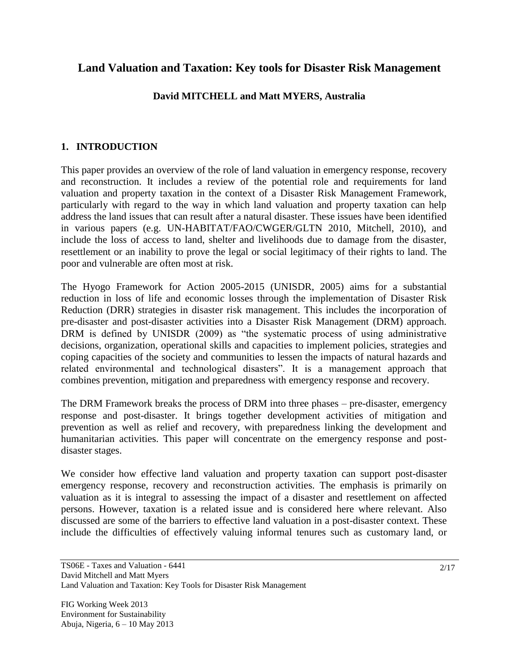# **Land Valuation and Taxation: Key tools for Disaster Risk Management**

# **David MITCHELL and Matt MYERS, Australia**

### **1. INTRODUCTION**

This paper provides an overview of the role of land valuation in emergency response, recovery and reconstruction. It includes a review of the potential role and requirements for land valuation and property taxation in the context of a Disaster Risk Management Framework, particularly with regard to the way in which land valuation and property taxation can help address the land issues that can result after a natural disaster. These issues have been identified in various papers (e.g. UN-HABITAT/FAO/CWGER/GLTN 2010, Mitchell, 2010), and include the loss of access to land, shelter and livelihoods due to damage from the disaster, resettlement or an inability to prove the legal or social legitimacy of their rights to land. The poor and vulnerable are often most at risk.

The Hyogo Framework for Action 2005-2015 (UNISDR, 2005) aims for a substantial reduction in loss of life and economic losses through the implementation of Disaster Risk Reduction (DRR) strategies in disaster risk management. This includes the incorporation of pre-disaster and post-disaster activities into a Disaster Risk Management (DRM) approach. DRM is defined by UNISDR (2009) as "the systematic process of using administrative decisions, organization, operational skills and capacities to implement policies, strategies and coping capacities of the society and communities to lessen the impacts of natural hazards and related environmental and technological disasters". It is a management approach that combines prevention, mitigation and preparedness with emergency response and recovery.

The DRM Framework breaks the process of DRM into three phases – pre-disaster, emergency response and post-disaster. It brings together development activities of mitigation and prevention as well as relief and recovery, with preparedness linking the development and humanitarian activities. This paper will concentrate on the emergency response and postdisaster stages.

We consider how effective land valuation and property taxation can support post-disaster emergency response, recovery and reconstruction activities. The emphasis is primarily on valuation as it is integral to assessing the impact of a disaster and resettlement on affected persons. However, taxation is a related issue and is considered here where relevant. Also discussed are some of the barriers to effective land valuation in a post-disaster context. These include the difficulties of effectively valuing informal tenures such as customary land, or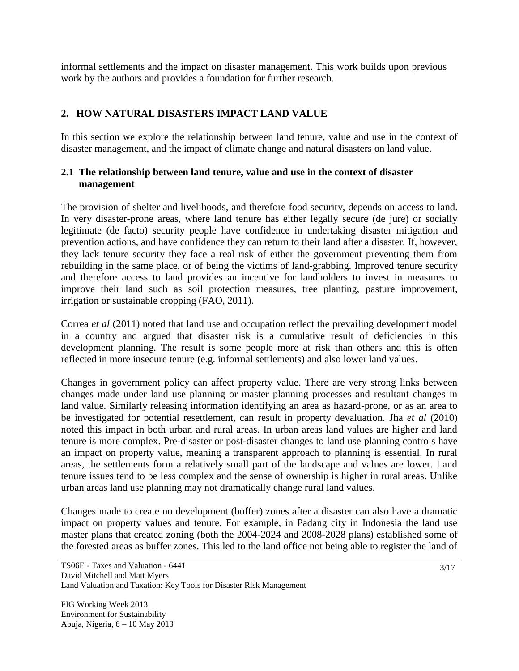informal settlements and the impact on disaster management. This work builds upon previous work by the authors and provides a foundation for further research.

# **2. HOW NATURAL DISASTERS IMPACT LAND VALUE**

In this section we explore the relationship between land tenure, value and use in the context of disaster management, and the impact of climate change and natural disasters on land value.

### **2.1 The relationship between land tenure, value and use in the context of disaster management**

The provision of shelter and livelihoods, and therefore food security, depends on access to land. In very disaster-prone areas, where land tenure has either legally secure (de jure) or socially legitimate (de facto) security people have confidence in undertaking disaster mitigation and prevention actions, and have confidence they can return to their land after a disaster. If, however, they lack tenure security they face a real risk of either the government preventing them from rebuilding in the same place, or of being the victims of land-grabbing. Improved tenure security and therefore access to land provides an incentive for landholders to invest in measures to improve their land such as soil protection measures, tree planting, pasture improvement, irrigation or sustainable cropping (FAO, 2011).

Correa *et al* (2011) noted that land use and occupation reflect the prevailing development model in a country and argued that disaster risk is a cumulative result of deficiencies in this development planning. The result is some people more at risk than others and this is often reflected in more insecure tenure (e.g. informal settlements) and also lower land values.

Changes in government policy can affect property value. There are very strong links between changes made under land use planning or master planning processes and resultant changes in land value. Similarly releasing information identifying an area as hazard-prone, or as an area to be investigated for potential resettlement, can result in property devaluation. Jha *et al* (2010) noted this impact in both urban and rural areas. In urban areas land values are higher and land tenure is more complex. Pre-disaster or post-disaster changes to land use planning controls have an impact on property value, meaning a transparent approach to planning is essential. In rural areas, the settlements form a relatively small part of the landscape and values are lower. Land tenure issues tend to be less complex and the sense of ownership is higher in rural areas. Unlike urban areas land use planning may not dramatically change rural land values.

Changes made to create no development (buffer) zones after a disaster can also have a dramatic impact on property values and tenure. For example, in Padang city in Indonesia the land use master plans that created zoning (both the 2004-2024 and 2008-2028 plans) established some of the forested areas as buffer zones. This led to the land office not being able to register the land of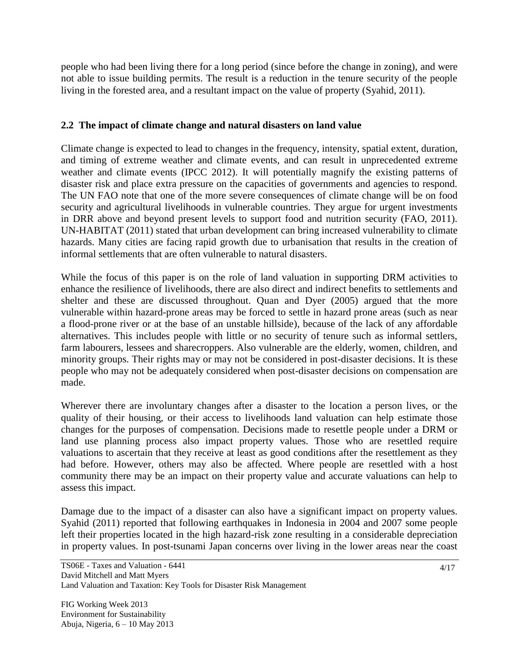people who had been living there for a long period (since before the change in zoning), and were not able to issue building permits. The result is a reduction in the tenure security of the people living in the forested area, and a resultant impact on the value of property (Syahid, 2011).

#### **2.2 The impact of climate change and natural disasters on land value**

Climate change is expected to lead to changes in the frequency, intensity, spatial extent, duration, and timing of extreme weather and climate events, and can result in unprecedented extreme weather and climate events (IPCC 2012). It will potentially magnify the existing patterns of disaster risk and place extra pressure on the capacities of governments and agencies to respond. The UN FAO note that one of the more severe consequences of climate change will be on food security and agricultural livelihoods in vulnerable countries. They argue for urgent investments in DRR above and beyond present levels to support food and nutrition security (FAO, 2011). UN-HABITAT (2011) stated that urban development can bring increased vulnerability to climate hazards. Many cities are facing rapid growth due to urbanisation that results in the creation of informal settlements that are often vulnerable to natural disasters.

While the focus of this paper is on the role of land valuation in supporting DRM activities to enhance the resilience of livelihoods, there are also direct and indirect benefits to settlements and shelter and these are discussed throughout. Quan and Dyer (2005) argued that the more vulnerable within hazard-prone areas may be forced to settle in hazard prone areas (such as near a flood-prone river or at the base of an unstable hillside), because of the lack of any affordable alternatives. This includes people with little or no security of tenure such as informal settlers, farm labourers, lessees and sharecroppers. Also vulnerable are the elderly, women, children, and minority groups. Their rights may or may not be considered in post-disaster decisions. It is these people who may not be adequately considered when post-disaster decisions on compensation are made.

Wherever there are involuntary changes after a disaster to the location a person lives, or the quality of their housing, or their access to livelihoods land valuation can help estimate those changes for the purposes of compensation. Decisions made to resettle people under a DRM or land use planning process also impact property values. Those who are resettled require valuations to ascertain that they receive at least as good conditions after the resettlement as they had before. However, others may also be affected. Where people are resettled with a host community there may be an impact on their property value and accurate valuations can help to assess this impact.

Damage due to the impact of a disaster can also have a significant impact on property values. Syahid (2011) reported that following earthquakes in Indonesia in 2004 and 2007 some people left their properties located in the high hazard-risk zone resulting in a considerable depreciation in property values. In post-tsunami Japan concerns over living in the lower areas near the coast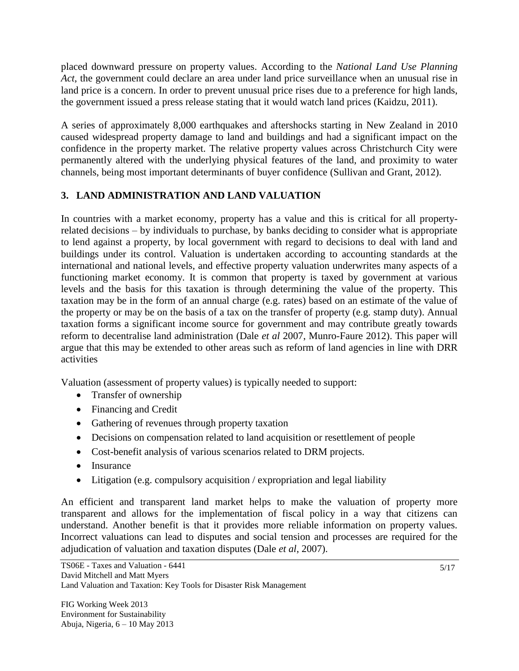placed downward pressure on property values. According to the *National Land Use Planning Act*, the government could declare an area under land price surveillance when an unusual rise in land price is a concern. In order to prevent unusual price rises due to a preference for high lands, the government issued a press release stating that it would watch land prices (Kaidzu, 2011).

A series of approximately 8,000 earthquakes and aftershocks starting in New Zealand in 2010 caused widespread property damage to land and buildings and had a significant impact on the confidence in the property market. The relative property values across Christchurch City were permanently altered with the underlying physical features of the land, and proximity to water channels, being most important determinants of buyer confidence (Sullivan and Grant, 2012).

# **3. LAND ADMINISTRATION AND LAND VALUATION**

In countries with a market economy, property has a value and this is critical for all propertyrelated decisions – by individuals to purchase, by banks deciding to consider what is appropriate to lend against a property, by local government with regard to decisions to deal with land and buildings under its control. Valuation is undertaken according to accounting standards at the international and national levels, and effective property valuation underwrites many aspects of a functioning market economy. It is common that property is taxed by government at various levels and the basis for this taxation is through determining the value of the property. This taxation may be in the form of an annual charge (e.g. rates) based on an estimate of the value of the property or may be on the basis of a tax on the transfer of property (e.g. stamp duty). Annual taxation forms a significant income source for government and may contribute greatly towards reform to decentralise land administration (Dale *et al* 2007, Munro-Faure 2012). This paper will argue that this may be extended to other areas such as reform of land agencies in line with DRR activities

Valuation (assessment of property values) is typically needed to support:

- Transfer of ownership
- Financing and Credit
- Gathering of revenues through property taxation
- Decisions on compensation related to land acquisition or resettlement of people
- Cost-benefit analysis of various scenarios related to DRM projects.
- Insurance
- Litigation (e.g. compulsory acquisition / expropriation and legal liability

An efficient and transparent land market helps to make the valuation of property more transparent and allows for the implementation of fiscal policy in a way that citizens can understand. Another benefit is that it provides more reliable information on property values. Incorrect valuations can lead to disputes and social tension and processes are required for the adjudication of valuation and taxation disputes (Dale *et al*, 2007).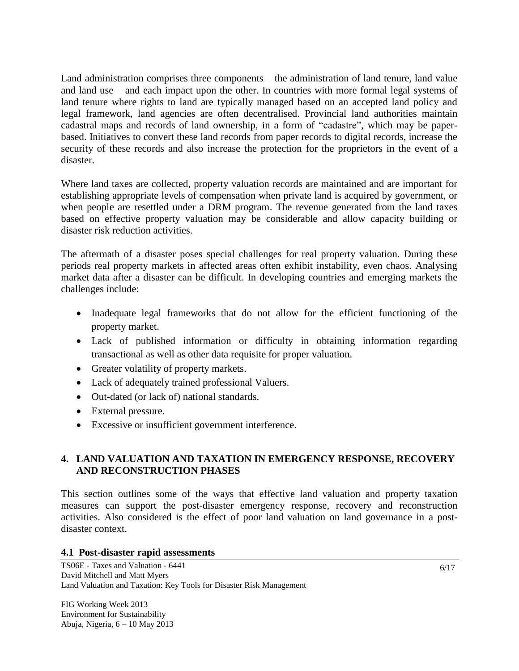Land administration comprises three components – the administration of land tenure, land value and land use – and each impact upon the other. In countries with more formal legal systems of land tenure where rights to land are typically managed based on an accepted land policy and legal framework, land agencies are often decentralised. Provincial land authorities maintain cadastral maps and records of land ownership, in a form of "cadastre", which may be paperbased. Initiatives to convert these land records from paper records to digital records, increase the security of these records and also increase the protection for the proprietors in the event of a disaster.

Where land taxes are collected, property valuation records are maintained and are important for establishing appropriate levels of compensation when private land is acquired by government, or when people are resettled under a DRM program. The revenue generated from the land taxes based on effective property valuation may be considerable and allow capacity building or disaster risk reduction activities.

The aftermath of a disaster poses special challenges for real property valuation. During these periods real property markets in affected areas often exhibit instability, even chaos. Analysing market data after a disaster can be difficult. In developing countries and emerging markets the challenges include:

- Inadequate legal frameworks that do not allow for the efficient functioning of the property market.
- Lack of published information or difficulty in obtaining information regarding transactional as well as other data requisite for proper valuation.
- Greater volatility of property markets.
- Lack of adequately trained professional Valuers.
- Out-dated (or lack of) national standards.
- External pressure.
- Excessive or insufficient government interference.

# **4. LAND VALUATION AND TAXATION IN EMERGENCY RESPONSE, RECOVERY AND RECONSTRUCTION PHASES**

This section outlines some of the ways that effective land valuation and property taxation measures can support the post-disaster emergency response, recovery and reconstruction activities. Also considered is the effect of poor land valuation on land governance in a postdisaster context.

#### **4.1 Post-disaster rapid assessments**

TS06E - Taxes and Valuation - 6441 David Mitchell and Matt Myers Land Valuation and Taxation: Key Tools for Disaster Risk Management

FIG Working Week 2013 Environment for Sustainability Abuja, Nigeria, 6 – 10 May 2013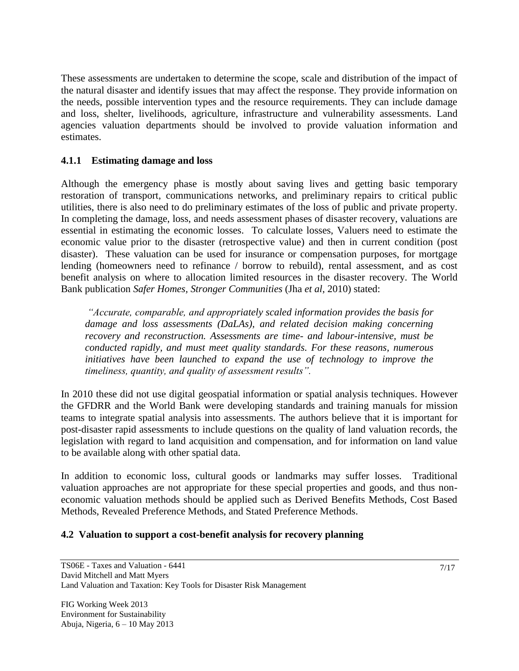These assessments are undertaken to determine the scope, scale and distribution of the impact of the natural disaster and identify issues that may affect the response. They provide information on the needs, possible intervention types and the resource requirements. They can include damage and loss, shelter, livelihoods, agriculture, infrastructure and vulnerability assessments. Land agencies valuation departments should be involved to provide valuation information and estimates.

### **4.1.1 Estimating damage and loss**

Although the emergency phase is mostly about saving lives and getting basic temporary restoration of transport, communications networks, and preliminary repairs to critical public utilities, there is also need to do preliminary estimates of the loss of public and private property. In completing the damage, loss, and needs assessment phases of disaster recovery, valuations are essential in estimating the economic losses. To calculate losses, Valuers need to estimate the economic value prior to the disaster (retrospective value) and then in current condition (post disaster). These valuation can be used for insurance or compensation purposes, for mortgage lending (homeowners need to refinance / borrow to rebuild), rental assessment, and as cost benefit analysis on where to allocation limited resources in the disaster recovery. The World Bank publication *Safer Homes, Stronger Communities* (Jha *et al*, 2010) stated:

*―Accurate, comparable, and appropriately scaled information provides the basis for damage and loss assessments (DaLAs), and related decision making concerning recovery and reconstruction. Assessments are time- and labour-intensive, must be conducted rapidly, and must meet quality standards. For these reasons, numerous initiatives have been launched to expand the use of technology to improve the timeliness, quantity, and quality of assessment results".* 

In 2010 these did not use digital geospatial information or spatial analysis techniques. However the GFDRR and the World Bank were developing standards and training manuals for mission teams to integrate spatial analysis into assessments. The authors believe that it is important for post-disaster rapid assessments to include questions on the quality of land valuation records, the legislation with regard to land acquisition and compensation, and for information on land value to be available along with other spatial data.

In addition to economic loss, cultural goods or landmarks may suffer losses. Traditional valuation approaches are not appropriate for these special properties and goods, and thus noneconomic valuation methods should be applied such as Derived Benefits Methods, Cost Based Methods, Revealed Preference Methods, and Stated Preference Methods.

#### **4.2 Valuation to support a cost-benefit analysis for recovery planning**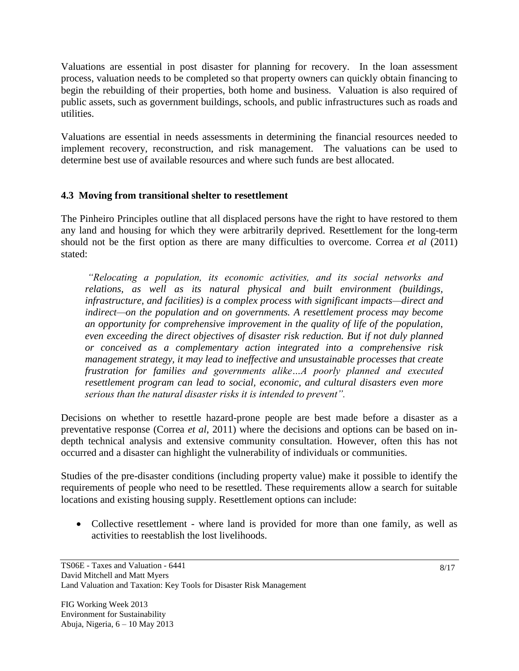Valuations are essential in post disaster for planning for recovery. In the loan assessment process, valuation needs to be completed so that property owners can quickly obtain financing to begin the rebuilding of their properties, both home and business. Valuation is also required of public assets, such as government buildings, schools, and public infrastructures such as roads and utilities.

Valuations are essential in needs assessments in determining the financial resources needed to implement recovery, reconstruction, and risk management. The valuations can be used to determine best use of available resources and where such funds are best allocated.

# **4.3 Moving from transitional shelter to resettlement**

The Pinheiro Principles outline that all displaced persons have the right to have restored to them any land and housing for which they were arbitrarily deprived. Resettlement for the long-term should not be the first option as there are many difficulties to overcome. Correa *et al* (2011) stated:

*―Relocating a population, its economic activities, and its social networks and relations, as well as its natural physical and built environment (buildings, infrastructure, and facilities) is a complex process with significant impacts—direct and indirect—on the population and on governments. A resettlement process may become an opportunity for comprehensive improvement in the quality of life of the population, even exceeding the direct objectives of disaster risk reduction. But if not duly planned or conceived as a complementary action integrated into a comprehensive risk management strategy, it may lead to ineffective and unsustainable processes that create frustration for families and governments alike…A poorly planned and executed resettlement program can lead to social, economic, and cultural disasters even more serious than the natural disaster risks it is intended to prevent".* 

Decisions on whether to resettle hazard-prone people are best made before a disaster as a preventative response (Correa *et al*, 2011) where the decisions and options can be based on indepth technical analysis and extensive community consultation. However, often this has not occurred and a disaster can highlight the vulnerability of individuals or communities.

Studies of the pre-disaster conditions (including property value) make it possible to identify the requirements of people who need to be resettled. These requirements allow a search for suitable locations and existing housing supply. Resettlement options can include:

• Collective resettlement - where land is provided for more than one family, as well as activities to reestablish the lost livelihoods.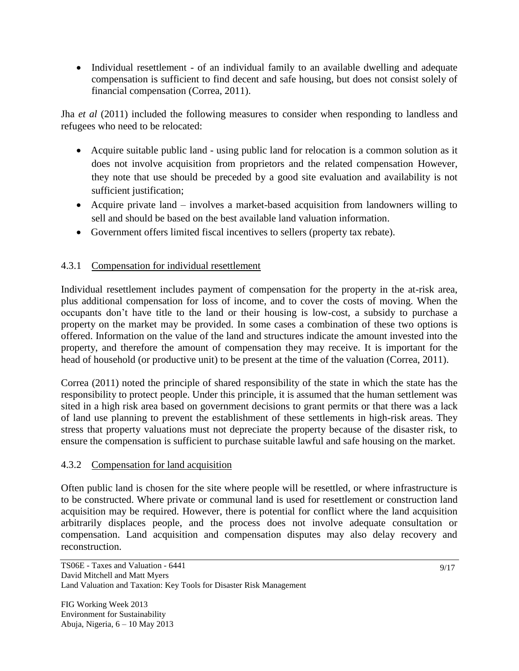• Individual resettlement - of an individual family to an available dwelling and adequate compensation is sufficient to find decent and safe housing, but does not consist solely of financial compensation (Correa, 2011).

Jha *et al* (2011) included the following measures to consider when responding to landless and refugees who need to be relocated:

- Acquire suitable public land using public land for relocation is a common solution as it does not involve acquisition from proprietors and the related compensation However, they note that use should be preceded by a good site evaluation and availability is not sufficient justification;
- Acquire private land involves a market-based acquisition from landowners willing to sell and should be based on the best available land valuation information.
- Government offers limited fiscal incentives to sellers (property tax rebate).

# 4.3.1 Compensation for individual resettlement

Individual resettlement includes payment of compensation for the property in the at-risk area, plus additional compensation for loss of income, and to cover the costs of moving. When the occupants don't have title to the land or their housing is low-cost, a subsidy to purchase a property on the market may be provided. In some cases a combination of these two options is offered. Information on the value of the land and structures indicate the amount invested into the property, and therefore the amount of compensation they may receive. It is important for the head of household (or productive unit) to be present at the time of the valuation (Correa, 2011).

Correa (2011) noted the principle of shared responsibility of the state in which the state has the responsibility to protect people. Under this principle, it is assumed that the human settlement was sited in a high risk area based on government decisions to grant permits or that there was a lack of land use planning to prevent the establishment of these settlements in high-risk areas. They stress that property valuations must not depreciate the property because of the disaster risk, to ensure the compensation is sufficient to purchase suitable lawful and safe housing on the market.

#### 4.3.2 Compensation for land acquisition

Often public land is chosen for the site where people will be resettled, or where infrastructure is to be constructed. Where private or communal land is used for resettlement or construction land acquisition may be required. However, there is potential for conflict where the land acquisition arbitrarily displaces people, and the process does not involve adequate consultation or compensation. Land acquisition and compensation disputes may also delay recovery and reconstruction.

TS06E - Taxes and Valuation - 6441 David Mitchell and Matt Myers Land Valuation and Taxation: Key Tools for Disaster Risk Management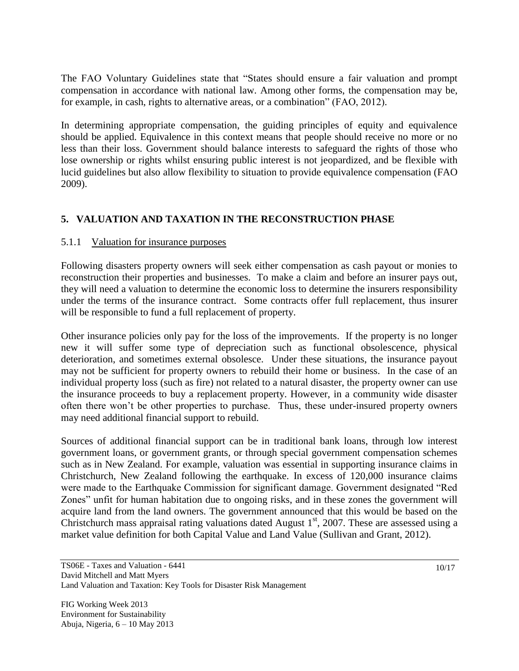The FAO Voluntary Guidelines state that "States should ensure a fair valuation and prompt compensation in accordance with national law. Among other forms, the compensation may be, for example, in cash, rights to alternative areas, or a combination" (FAO, 2012).

In determining appropriate compensation, the guiding principles of equity and equivalence should be applied. Equivalence in this context means that people should receive no more or no less than their loss. Government should balance interests to safeguard the rights of those who lose ownership or rights whilst ensuring public interest is not jeopardized, and be flexible with lucid guidelines but also allow flexibility to situation to provide equivalence compensation (FAO 2009).

# **5. VALUATION AND TAXATION IN THE RECONSTRUCTION PHASE**

# 5.1.1 Valuation for insurance purposes

Following disasters property owners will seek either compensation as cash payout or monies to reconstruction their properties and businesses. To make a claim and before an insurer pays out, they will need a valuation to determine the economic loss to determine the insurers responsibility under the terms of the insurance contract. Some contracts offer full replacement, thus insurer will be responsible to fund a full replacement of property.

Other insurance policies only pay for the loss of the improvements. If the property is no longer new it will suffer some type of depreciation such as functional obsolescence, physical deterioration, and sometimes external obsolesce. Under these situations, the insurance payout may not be sufficient for property owners to rebuild their home or business. In the case of an individual property loss (such as fire) not related to a natural disaster, the property owner can use the insurance proceeds to buy a replacement property. However, in a community wide disaster often there won't be other properties to purchase. Thus, these under-insured property owners may need additional financial support to rebuild.

Sources of additional financial support can be in traditional bank loans, through low interest government loans, or government grants, or through special government compensation schemes such as in New Zealand. For example, valuation was essential in supporting insurance claims in Christchurch, New Zealand following the earthquake. In excess of 120,000 insurance claims were made to the Earthquake Commission for significant damage. Government designated "Red Zones" unfit for human habitation due to ongoing risks, and in these zones the government will acquire land from the land owners. The government announced that this would be based on the Christchurch mass appraisal rating valuations dated August  $1<sup>st</sup>$ , 2007. These are assessed using a market value definition for both Capital Value and Land Value (Sullivan and Grant, 2012).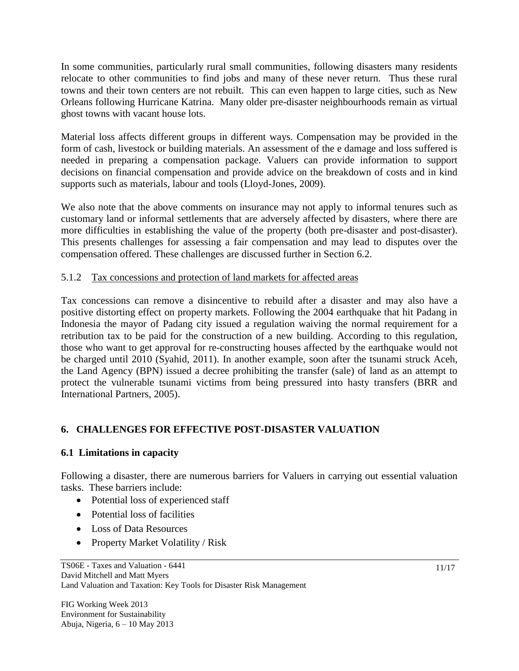In some communities, particularly rural small communities, following disasters many residents relocate to other communities to find jobs and many of these never return. Thus these rural towns and their town centers are not rebuilt. This can even happen to large cities, such as New Orleans following Hurricane Katrina. Many older pre-disaster neighbourhoods remain as virtual ghost towns with vacant house lots.

Material loss affects different groups in different ways. Compensation may be provided in the form of cash, livestock or building materials. An assessment of the e damage and loss suffered is needed in preparing a compensation package. Valuers can provide information to support decisions on financial compensation and provide advice on the breakdown of costs and in kind supports such as materials, labour and tools (Lloyd-Jones, 2009).

We also note that the above comments on insurance may not apply to informal tenures such as customary land or informal settlements that are adversely affected by disasters, where there are more difficulties in establishing the value of the property (both pre-disaster and post-disaster). This presents challenges for assessing a fair compensation and may lead to disputes over the compensation offered. These challenges are discussed further in Section 6.2.

#### 5.1.2 Tax concessions and protection of land markets for affected areas

Tax concessions can remove a disincentive to rebuild after a disaster and may also have a positive distorting effect on property markets. Following the 2004 earthquake that hit Padang in Indonesia the mayor of Padang city issued a regulation waiving the normal requirement for a retribution tax to be paid for the construction of a new building. According to this regulation, those who want to get approval for re-constructing houses affected by the earthquake would not be charged until 2010 (Syahid, 2011). In another example, soon after the tsunami struck Aceh, the Land Agency (BPN) issued a decree prohibiting the transfer (sale) of land as an attempt to protect the vulnerable tsunami victims from being pressured into hasty transfers (BRR and International Partners, 2005).

# **6. CHALLENGES FOR EFFECTIVE POST-DISASTER VALUATION**

# **6.1 Limitations in capacity**

Following a disaster, there are numerous barriers for Valuers in carrying out essential valuation tasks. These barriers include:

- Potential loss of experienced staff
- Potential loss of facilities
- Loss of Data Resources
- Property Market Volatility / Risk

11/17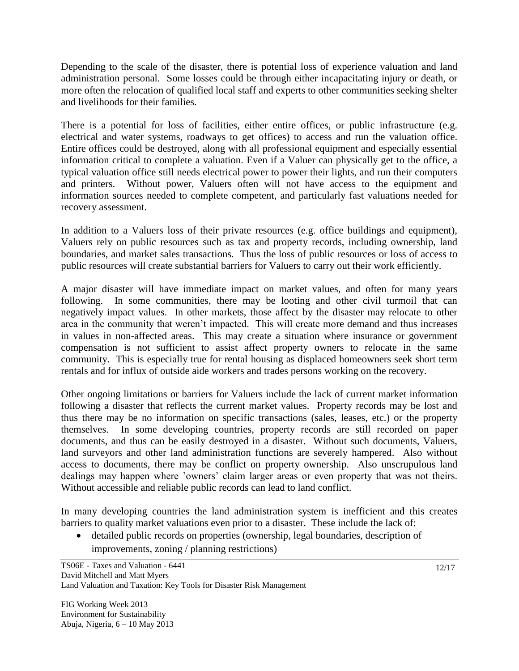Depending to the scale of the disaster, there is potential loss of experience valuation and land administration personal. Some losses could be through either incapacitating injury or death, or more often the relocation of qualified local staff and experts to other communities seeking shelter and livelihoods for their families.

There is a potential for loss of facilities, either entire offices, or public infrastructure (e.g. electrical and water systems, roadways to get offices) to access and run the valuation office. Entire offices could be destroyed, along with all professional equipment and especially essential information critical to complete a valuation. Even if a Valuer can physically get to the office, a typical valuation office still needs electrical power to power their lights, and run their computers and printers. Without power, Valuers often will not have access to the equipment and information sources needed to complete competent, and particularly fast valuations needed for recovery assessment.

In addition to a Valuers loss of their private resources (e.g. office buildings and equipment), Valuers rely on public resources such as tax and property records, including ownership, land boundaries, and market sales transactions. Thus the loss of public resources or loss of access to public resources will create substantial barriers for Valuers to carry out their work efficiently.

A major disaster will have immediate impact on market values, and often for many years following. In some communities, there may be looting and other civil turmoil that can negatively impact values. In other markets, those affect by the disaster may relocate to other area in the community that weren't impacted. This will create more demand and thus increases in values in non-affected areas. This may create a situation where insurance or government compensation is not sufficient to assist affect property owners to relocate in the same community. This is especially true for rental housing as displaced homeowners seek short term rentals and for influx of outside aide workers and trades persons working on the recovery.

Other ongoing limitations or barriers for Valuers include the lack of current market information following a disaster that reflects the current market values. Property records may be lost and thus there may be no information on specific transactions (sales, leases, etc.) or the property themselves. In some developing countries, property records are still recorded on paper documents, and thus can be easily destroyed in a disaster. Without such documents, Valuers, land surveyors and other land administration functions are severely hampered. Also without access to documents, there may be conflict on property ownership. Also unscrupulous land dealings may happen where 'owners' claim larger areas or even property that was not theirs. Without accessible and reliable public records can lead to land conflict.

In many developing countries the land administration system is inefficient and this creates barriers to quality market valuations even prior to a disaster. These include the lack of:

 detailed public records on properties (ownership, legal boundaries, description of improvements, zoning / planning restrictions)

TS06E - Taxes and Valuation - 6441 David Mitchell and Matt Myers Land Valuation and Taxation: Key Tools for Disaster Risk Management

FIG Working Week 2013 Environment for Sustainability Abuja, Nigeria, 6 – 10 May 2013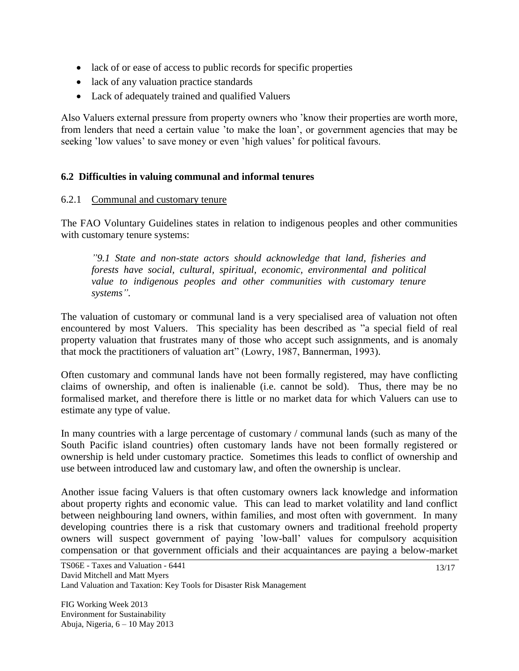- lack of or ease of access to public records for specific properties
- lack of any valuation practice standards
- Lack of adequately trained and qualified Valuers

Also Valuers external pressure from property owners who 'know their properties are worth more, from lenders that need a certain value 'to make the loan', or government agencies that may be seeking 'low values' to save money or even 'high values' for political favours.

#### **6.2 Difficulties in valuing communal and informal tenures**

#### 6.2.1 Communal and customary tenure

The FAO Voluntary Guidelines states in relation to indigenous peoples and other communities with customary tenure systems:

*‖9.1 State and non-state actors should acknowledge that land, fisheries and forests have social, cultural, spiritual, economic, environmental and political value to indigenous peoples and other communities with customary tenure systems‖.*

The valuation of customary or communal land is a very specialised area of valuation not often encountered by most Valuers. This speciality has been described as "a special field of real property valuation that frustrates many of those who accept such assignments, and is anomaly that mock the practitioners of valuation art" (Lowry, 1987, Bannerman, 1993).

Often customary and communal lands have not been formally registered, may have conflicting claims of ownership, and often is inalienable (i.e. cannot be sold). Thus, there may be no formalised market, and therefore there is little or no market data for which Valuers can use to estimate any type of value.

In many countries with a large percentage of customary / communal lands (such as many of the South Pacific island countries) often customary lands have not been formally registered or ownership is held under customary practice. Sometimes this leads to conflict of ownership and use between introduced law and customary law, and often the ownership is unclear.

Another issue facing Valuers is that often customary owners lack knowledge and information about property rights and economic value. This can lead to market volatility and land conflict between neighbouring land owners, within families, and most often with government. In many developing countries there is a risk that customary owners and traditional freehold property owners will suspect government of paying 'low-ball' values for compulsory acquisition compensation or that government officials and their acquaintances are paying a below-market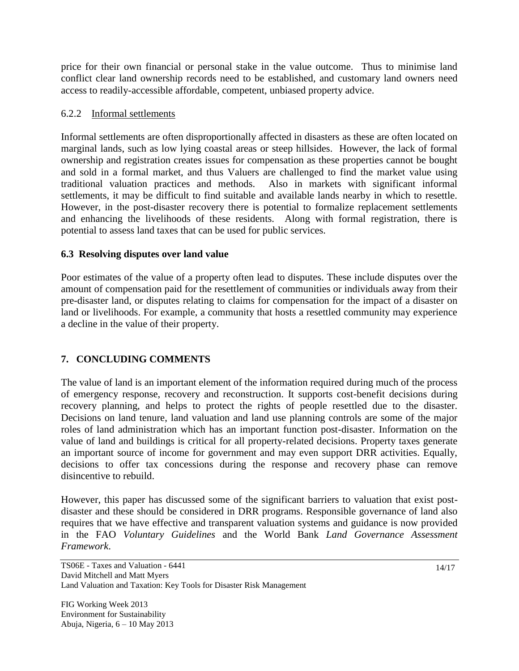price for their own financial or personal stake in the value outcome. Thus to minimise land conflict clear land ownership records need to be established, and customary land owners need access to readily-accessible affordable, competent, unbiased property advice.

#### 6.2.2 Informal settlements

Informal settlements are often disproportionally affected in disasters as these are often located on marginal lands, such as low lying coastal areas or steep hillsides. However, the lack of formal ownership and registration creates issues for compensation as these properties cannot be bought and sold in a formal market, and thus Valuers are challenged to find the market value using traditional valuation practices and methods. Also in markets with significant informal settlements, it may be difficult to find suitable and available lands nearby in which to resettle. However, in the post-disaster recovery there is potential to formalize replacement settlements and enhancing the livelihoods of these residents. Along with formal registration, there is potential to assess land taxes that can be used for public services.

#### **6.3 Resolving disputes over land value**

Poor estimates of the value of a property often lead to disputes. These include disputes over the amount of compensation paid for the resettlement of communities or individuals away from their pre-disaster land, or disputes relating to claims for compensation for the impact of a disaster on land or livelihoods. For example, a community that hosts a resettled community may experience a decline in the value of their property.

#### **7. CONCLUDING COMMENTS**

The value of land is an important element of the information required during much of the process of emergency response, recovery and reconstruction. It supports cost-benefit decisions during recovery planning, and helps to protect the rights of people resettled due to the disaster. Decisions on land tenure, land valuation and land use planning controls are some of the major roles of land administration which has an important function post-disaster. Information on the value of land and buildings is critical for all property-related decisions. Property taxes generate an important source of income for government and may even support DRR activities. Equally, decisions to offer tax concessions during the response and recovery phase can remove disincentive to rebuild.

However, this paper has discussed some of the significant barriers to valuation that exist postdisaster and these should be considered in DRR programs. Responsible governance of land also requires that we have effective and transparent valuation systems and guidance is now provided in the FAO *Voluntary Guidelines* and the World Bank *Land Governance Assessment Framework*.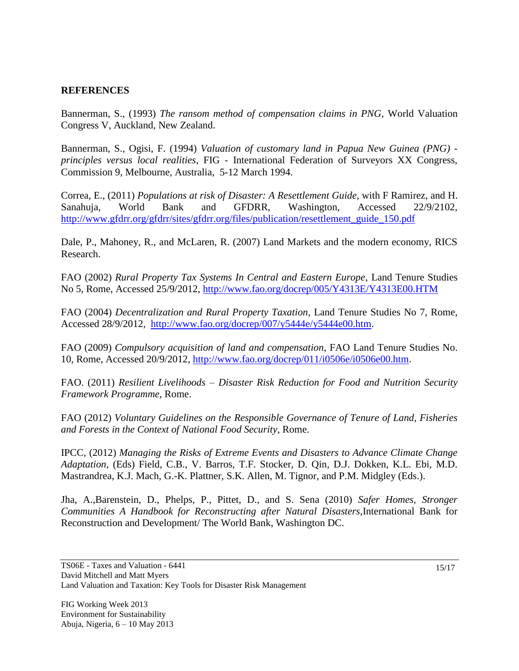#### **REFERENCES**

Bannerman, S., (1993) *The ransom method of compensation claims in PNG*, World Valuation Congress V, Auckland, New Zealand.

Bannerman, S., Ogisi, F. (1994) *Valuation of customary land in Papua New Guinea (PNG) principles versus local realities*, FIG - International Federation of Surveyors XX Congress, Commission 9, Melbourne, Australia, 5-12 March 1994.

Correa, E., (2011) *Populations at risk of Disaster: A Resettlement Guide*, with F Ramirez, and H. Sanahuja, World Bank and GFDRR, Washington, Accessed 22/9/2102, [http://www.gfdrr.org/gfdrr/sites/gfdrr.org/files/publication/resettlement\\_guide\\_150.pdf](http://www.gfdrr.org/gfdrr/sites/gfdrr.org/files/publication/resettlement_guide_150.pdf)

Dale, P., Mahoney, R., and McLaren, R. (2007) Land Markets and the modern economy, RICS Research.

FAO (2002) *Rural Property Tax Systems In Central and Eastern Europe*, Land Tenure Studies No 5, Rome, Accessed 25/9/2012,<http://www.fao.org/docrep/005/Y4313E/Y4313E00.HTM>

FAO (2004) *Decentralization and Rural Property Taxation*, Land Tenure Studies No 7, Rome, Accessed 28/9/2012, [http://www.fao.org/docrep/007/y5444e/y5444e00.htm.](http://www.fao.org/docrep/007/y5444e/y5444e00.htm)

FAO (2009) *Compulsory acquisition of land and compensation*, FAO Land Tenure Studies No. 10, Rome, Accessed 20/9/2012, [http://www.fao.org/docrep/011/i0506e/i0506e00.htm.](http://www.fao.org/docrep/011/i0506e/i0506e00.htm)

FAO. (2011) *Resilient Livelihoods – Disaster Risk Reduction for Food and Nutrition Security Framework Programme*, Rome.

FAO (2012) *Voluntary Guidelines on the Responsible Governance of Tenure of Land, Fisheries and Forests in the Context of National Food Security*, Rome.

IPCC, (2012) *Managing the Risks of Extreme Events and Disasters to Advance Climate Change Adaptation*, (Eds) Field, C.B., V. Barros, T.F. Stocker, D. Qin, D.J. Dokken, K.L. Ebi, M.D. Mastrandrea, K.J. Mach, G.-K. Plattner, S.K. Allen, M. Tignor, and P.M. Midgley (Eds.).

Jha, A.,Barenstein, D., Phelps, P., Pittet, D., and S. Sena (2010) *Safer Homes, Stronger Communities A Handbook for Reconstructing after Natural Disasters*,International Bank for Reconstruction and Development/ The World Bank, Washington DC.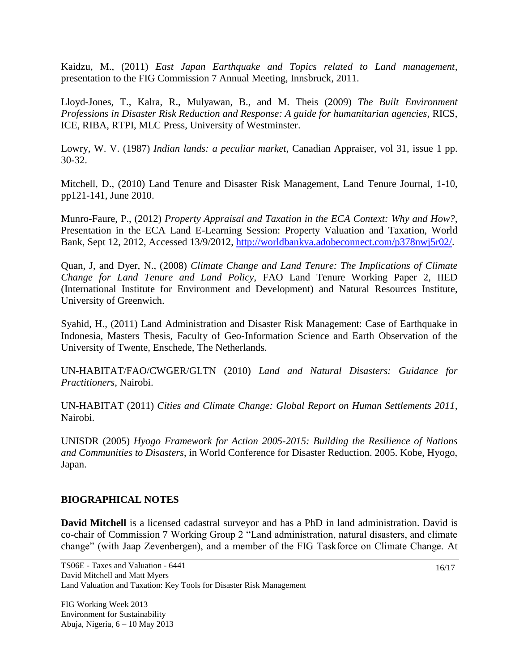Kaidzu, M., (2011) *East Japan Earthquake and Topics related to Land management*, presentation to the FIG Commission 7 Annual Meeting, Innsbruck, 2011.

Lloyd-Jones, T., Kalra, R., Mulyawan, B., and M. Theis (2009) *The Built Environment Professions in Disaster Risk Reduction and Response: A guide for humanitarian agencies*, RICS, ICE, RIBA, RTPI, MLC Press, University of Westminster.

Lowry, W. V. (1987) *Indian lands: a peculiar market*, Canadian Appraiser, vol 31, issue 1 pp. 30-32.

Mitchell, D., (2010) Land Tenure and Disaster Risk Management, Land Tenure Journal, 1-10, pp121-141, June 2010.

Munro-Faure, P., (2012) *Property Appraisal and Taxation in the ECA Context: Why and How?*, Presentation in the ECA Land E-Learning Session: Property Valuation and Taxation, World Bank, Sept 12, 2012, Accessed 13/9/2012, [http://worldbankva.adobeconnect.com/p378nwj5r02/.](http://worldbankva.adobeconnect.com/p378nwj5r02/)

Quan, J, and Dyer, N., (2008) *Climate Change and Land Tenure: The Implications of Climate Change for Land Tenure and Land Policy*, FAO Land Tenure Working Paper 2, IIED (International Institute for Environment and Development) and Natural Resources Institute, University of Greenwich.

Syahid, H., (2011) Land Administration and Disaster Risk Management: Case of Earthquake in Indonesia, Masters Thesis, Faculty of Geo-Information Science and Earth Observation of the University of Twente, Enschede, The Netherlands.

UN-HABITAT/FAO/CWGER/GLTN (2010) *Land and Natural Disasters: Guidance for Practitioners*, Nairobi.

UN-HABITAT (2011) *Cities and Climate Change: Global Report on Human Settlements 2011*, Nairobi.

UNISDR (2005) *Hyogo Framework for Action 2005-2015: Building the Resilience of Nations and Communities to Disasters*, in World Conference for Disaster Reduction. 2005. Kobe, Hyogo, Japan.

#### **BIOGRAPHICAL NOTES**

**David Mitchell** is a licensed cadastral surveyor and has a PhD in land administration. David is co-chair of Commission 7 Working Group 2 "Land administration, natural disasters, and climate change" (with Jaap Zevenbergen), and a member of the FIG Taskforce on Climate Change. At